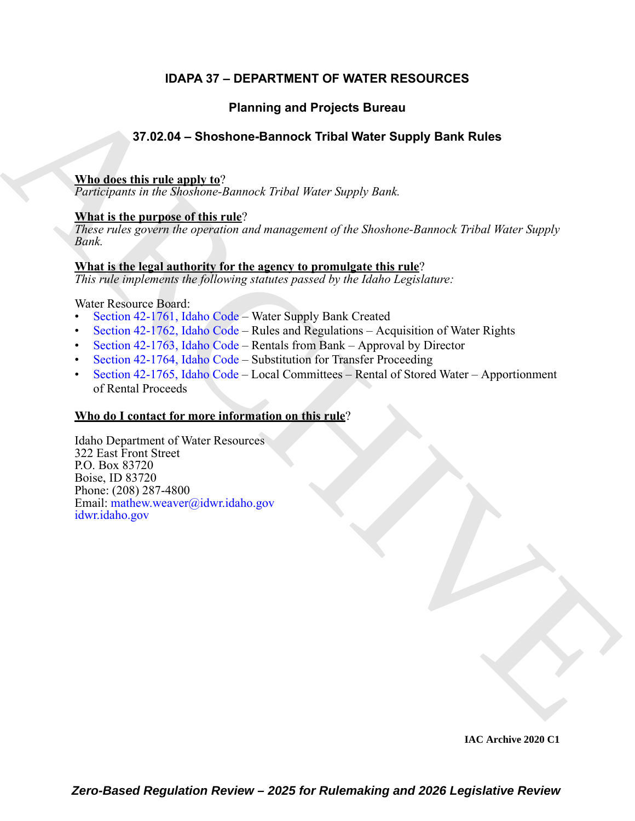# **IDAPA 37 – DEPARTMENT OF WATER RESOURCES**

# **Planning and Projects Bureau**

# **37.02.04 – Shoshone-Bannock Tribal Water Supply Bank Rules**

### **Who does this rule apply to**?

*Participants in the Shoshone-Bannock Tribal Water Supply Bank.*

# **What is the purpose of this rule**?

*These rules govern the operation and management of the Shoshone-Bannock Tribal Water Supply Bank.*

## **What is the legal authority for the agency to promulgate this rule**?

*This rule implements the following statutes passed by the Idaho Legislature:*

Water Resource Board:

- Section 42-1761, Idaho Code Water Supply Bank Created
- Section 42-1762, Idaho Code Rules and Regulations Acquisition of Water Rights
- Section 42-1763, Idaho Code Rentals from Bank Approval by Director
- Section 42-1764, Idaho Code Substitution for Transfer Proceeding
- Section 42-1765, Idaho Code Local Committees Rental of Stored Water Apportionment of Rental Proceeds

# **Who do I contact for more information on this rule**?

Planning and Projects Bureau<br>
37.02.04 - Shoshone-Bannock Tribal Water Supply Bank [R](https://legislature.idaho.gov/statutesrules/idstat/Title42/T42CH17/SECT42-1762/)ules<br>
Nind describes the Nordone-Bannock Tribal Water Supply Bank<br>
Nind is the numeron of this rank:<br>
Nind is the numeron of this rank:<br> Idaho Department of Water Resources 322 East Front Street P.O. Box 83720 Boise, ID 83720 Phone: (208) 287-4800 Email: mathew.weaver@idwr.idaho.gov idwr.idaho.gov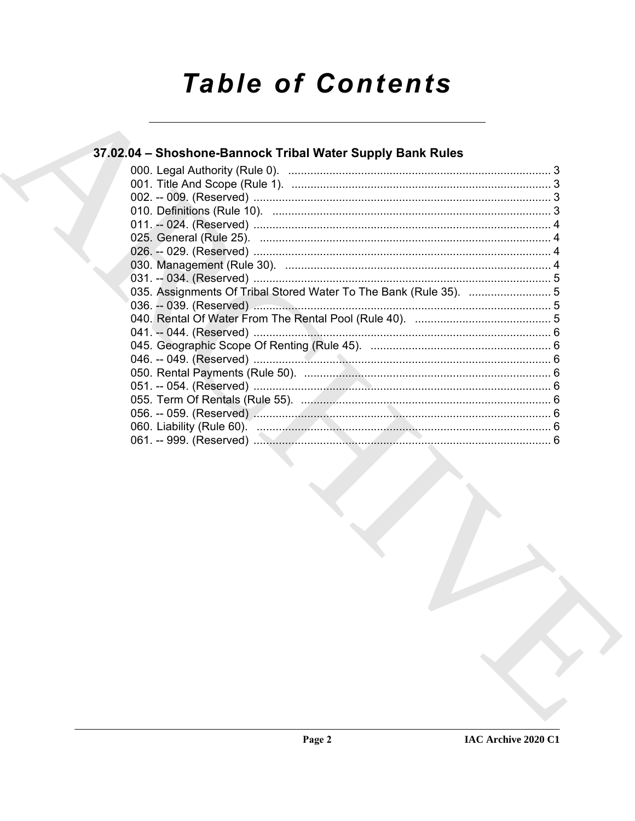# **Table of Contents**

# 37.02.04 - Shoshone-Bannock Tribal Water Supply Bank Rules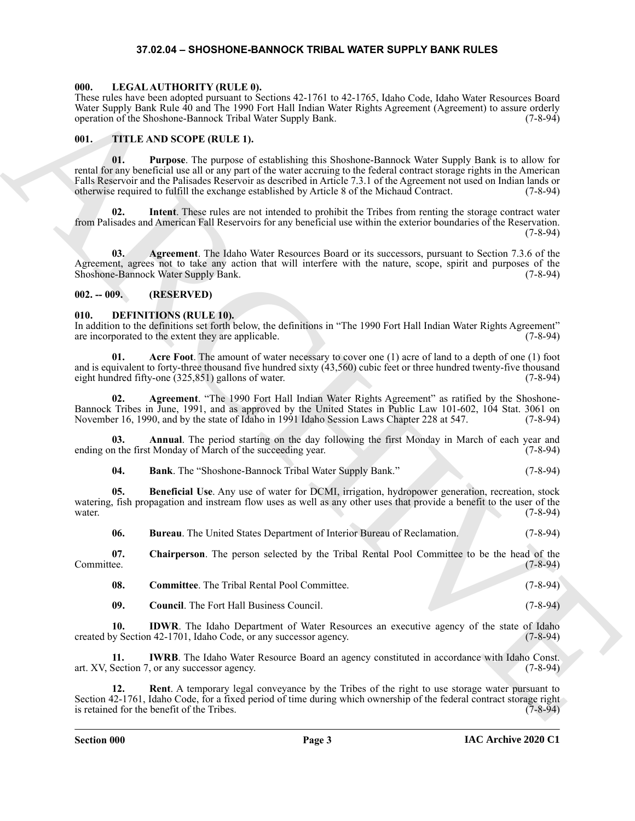#### **37.02.04 – SHOSHONE-BANNOCK TRIBAL WATER SUPPLY BANK RULES**

#### <span id="page-2-18"></span><span id="page-2-1"></span><span id="page-2-0"></span>**000. LEGAL AUTHORITY (RULE 0).**

These rules have been adopted pursuant to Sections 42-1761 to 42-1765, Idaho Code, Idaho Water Resources Board Water Supply Bank Rule 40 and The 1990 Fort Hall Indian Water Rights Agreement (Agreement) to assure orderly operation of the Shoshone-Bannock Tribal Water Supply Bank. (7-8-94) operation of the Shoshone-Bannock Tribal Water Supply Bank.

#### <span id="page-2-19"></span><span id="page-2-2"></span>**001. TITLE AND SCOPE (RULE 1).**

Hence their stress contribution of the stress contribution in the stress contribution of the stress contribution of the stress contribution of the stress contribution of the stress contribution of the stress contribution **01. Purpose**. The purpose of establishing this Shoshone-Bannock Water Supply Bank is to allow for rental for any beneficial use all or any part of the water accruing to the federal contract storage rights in the American Falls Reservoir and the Palisades Reservoir as described in Article 7.3.1 of the Agreement not used on Indian lands or otherwise required to fulfill the exchange established by Article 8 of the Michaud Contract. (7-8-94)

**02. Intent**. These rules are not intended to prohibit the Tribes from renting the storage contract water from Palisades and American Fall Reservoirs for any beneficial use within the exterior boundaries of the Reservation. (7-8-94)

**03. Agreement**. The Idaho Water Resources Board or its successors, pursuant to Section 7.3.6 of the Agreement, agrees not to take any action that will interfere with the nature, scope, spirit and purposes of the Shoshone-Bannock Water Supply Bank. (7-8-94) Shoshone-Bannock Water Supply Bank.

#### <span id="page-2-3"></span>**002. -- 009. (RESERVED)**

#### <span id="page-2-5"></span><span id="page-2-4"></span>**010. DEFINITIONS (RULE 10).**

In addition to the definitions set forth below, the definitions in "The 1990 Fort Hall Indian Water Rights Agreement" are incorporated to the extent they are applicable. (7-8-94) are incorporated to the extent they are applicable.

<span id="page-2-6"></span>**01. Acre Foot**. The amount of water necessary to cover one (1) acre of land to a depth of one (1) foot and is equivalent to forty-three thousand five hundred sixty (43,560) cubic feet or three hundred twenty-five thousand eight hundred fifty-one (325,851) gallons of water. (7-8-94) eight hundred fifty-one  $(325,851)$  gallons of water.

<span id="page-2-7"></span>**02. Agreement**. "The 1990 Fort Hall Indian Water Rights Agreement" as ratified by the Shoshone-Bannock Tribes in June, 1991, and as approved by the United States in Public Law 101-602, 104 Stat. 3061 on November 16, 1990, and by the state of Idaho in 1991 Idaho Session Laws Chapter 228 at 547. (7-8-94)

**03. Annual**. The period starting on the day following the first Monday in March of each year and ending on the first Monday of March of the succeeding year. (7-8-94)

<span id="page-2-10"></span><span id="page-2-9"></span><span id="page-2-8"></span>**04. Bank**. The "Shoshone-Bannock Tribal Water Supply Bank." (7-8-94)

**05. Beneficial Use**. Any use of water for DCMI, irrigation, hydropower generation, recreation, stock watering, fish propagation and instream flow uses as well as any other uses that provide a benefit to the user of the water.  $(7-8-94)$ 

<span id="page-2-12"></span><span id="page-2-11"></span>**06. Bureau**. The United States Department of Interior Bureau of Reclamation. (7-8-94)

**07.** Chairperson. The person selected by the Tribal Rental Pool Committee to be the head of the Committee. (7-8-94) Committee. (7-8-94)

<span id="page-2-14"></span><span id="page-2-13"></span>

| -08. | <b>Committee.</b> The Tribal Rental Pool Committee. | $(7-8-94)$ |
|------|-----------------------------------------------------|------------|
|      |                                                     |            |

<span id="page-2-16"></span><span id="page-2-15"></span>**09.** Council. The Fort Hall Business Council. (7-8-94)

**10. IDWR**. The Idaho Department of Water Resources an executive agency of the state of Idaho created by Section 42-1701, Idaho Code, or any successor agency. (7-8-94)

**11. IWRB**. The Idaho Water Resource Board an agency constituted in accordance with Idaho Const. art. XV, Section 7, or any successor agency. (7-8-94)

<span id="page-2-17"></span>**12. Rent**. A temporary legal conveyance by the Tribes of the right to use storage water pursuant to Section 42-1761, Idaho Code, for a fixed period of time during which ownership of the federal contract storage right is retained for the benefit of the Tribes. is retained for the benefit of the Tribes.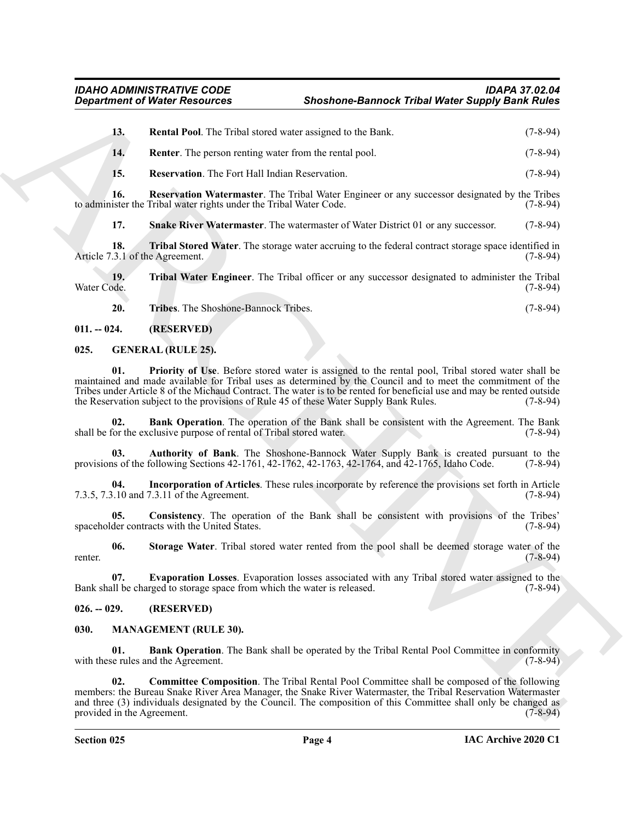<span id="page-3-5"></span><span id="page-3-4"></span>**13. Rental Pool**. The Tribal stored water assigned to the Bank. (7-8-94) **14. Renter**. The person renting water from the rental pool. (7-8-94)

<span id="page-3-7"></span><span id="page-3-6"></span>**15. Reservation**. The Fort Hall Indian Reservation. (7-8-94)

**16. Reservation Watermaster**. The Tribal Water Engineer or any successor designated by the Tribes to administer the Tribal water rights under the Tribal Water Code. (7-8-94)

<span id="page-3-9"></span><span id="page-3-8"></span>**17. Snake River Watermaster**. The watermaster of Water District 01 or any successor. (7-8-94)

**18. Tribal Stored Water**. The storage water accruing to the federal contract storage space identified in 3.1 of the Agreement. (7-8-94) Article 7.3.1 of the Agreement.

**19. 19. Tribal Water Engineer**. The Tribal officer or any successor designated to administer the Tribal Water Code. (7-8-94) Water Code. (7-8-94)

<span id="page-3-18"></span><span id="page-3-12"></span><span id="page-3-11"></span><span id="page-3-10"></span>**20. Tribes**. The Shoshone-Bannock Tribes. (7-8-94)

<span id="page-3-0"></span>**011. -- 024. (RESERVED)**

#### <span id="page-3-1"></span>**025. GENERAL (RULE 25).**

**01. Priority of Use**. Before stored water is assigned to the rental pool, Tribal stored water shall be maintained and made available for Tribal uses as determined by the Council and to meet the commitment of the Tribes under Article 8 of the Michaud Contract. The water is to be rented for beneficial use and may be rented outside the Reservation subject to the provisions of Rule 45 of these Water Supply Bank Rules. (7-8-94)

<span id="page-3-14"></span>**02. Bank Operation**. The operation of the Bank shall be consistent with the Agreement. The Bank for the exclusive purpose of rental of Tribal stored water. (7-8-94) shall be for the exclusive purpose of rental of Tribal stored water.

<span id="page-3-13"></span>**03. Authority of Bank**. The Shoshone-Bannock Water Supply Bank is created pursuant to the provisions of the following Sections 42-1761, 42-1762, 42-1763, 42-1764, and 42-1765, Idaho Code. (7-8-94)

<span id="page-3-17"></span>**04. Incorporation of Articles**. These rules incorporate by reference the provisions set forth in Article 7.3.5, 7.3.10 and 7.3.11 of the Agreement. (7-8-94)

<span id="page-3-15"></span>**05.** Consistency. The operation of the Bank shall be consistent with provisions of the Tribes' (7-8-94) der contracts with the United States. spaceholder contracts with the United States.

<span id="page-3-19"></span>**06.** Storage Water. Tribal stored water rented from the pool shall be deemed storage water of the (7-8-94) renter. (7-8-94)

<span id="page-3-16"></span>**07. Evaporation Losses**. Evaporation losses associated with any Tribal stored water assigned to the Bank shall be charged to storage space from which the water is released. (7-8-94)

#### <span id="page-3-2"></span>**026. -- 029. (RESERVED)**

#### <span id="page-3-20"></span><span id="page-3-3"></span>**030. MANAGEMENT (RULE 30).**

<span id="page-3-22"></span><span id="page-3-21"></span>**01. Bank Operation**. The Bank shall be operated by the Tribal Rental Pool Committee in conformity equilibrary rules and the Agreement. (7-8-94) with these rules and the Agreement.

Given the other has been contained as the shortern of Mathematics (2.6 AM)<br>
13. Renetal Mathematics and state as particular the Hand, (2.6 AM)<br>
14. Renetal Mathematics and the system of the final mathematics (2.6 AM)<br>
15. **02. Committee Composition**. The Tribal Rental Pool Committee shall be composed of the following members: the Bureau Snake River Area Manager, the Snake River Watermaster, the Tribal Reservation Watermaster and three (3) individuals designated by the Council. The composition of this Committee shall only be changed as provided in the Agreement. (7-8-94)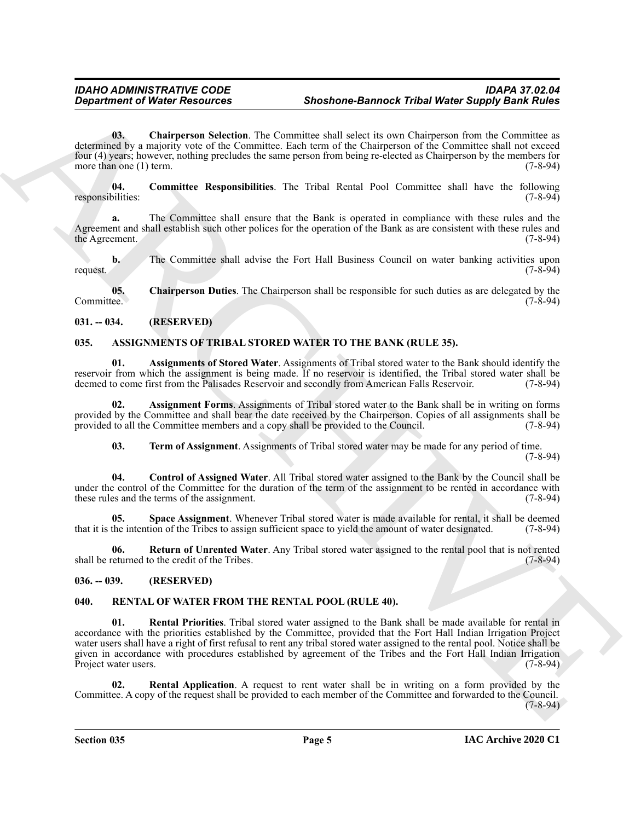<span id="page-4-12"></span>**03.** Chairperson Selection. The Committee shall select its own Chairperson from the Committee as determined by a majority vote of the Committee. Each term of the Chairperson of the Committee shall not exceed four (4) years; however, nothing precludes the same person from being re-elected as Chairperson by the members for more than one (1) term.  $(7-8-94)$ 

<span id="page-4-13"></span>**04. Committee Responsibilities**. The Tribal Rental Pool Committee shall have the following responsibilities:

**a.** The Committee shall ensure that the Bank is operated in compliance with these rules and the Agreement and shall establish such other polices for the operation of the Bank as are consistent with these rules and the Agreement.  $(7-8-94)$ the Agreement.

**b.** The Committee shall advise the Fort Hall Business Council on water banking activities upon request. (7-8-94)

<span id="page-4-11"></span>**05.** Chairperson Duties. The Chairperson shall be responsible for such duties as are delegated by the ee. Committee. (7-8-94)

<span id="page-4-0"></span>**031. -- 034. (RESERVED)**

# <span id="page-4-4"></span><span id="page-4-1"></span>**035. ASSIGNMENTS OF TRIBAL STORED WATER TO THE BANK (RULE 35).**

<span id="page-4-6"></span>**01. Assignments of Stored Water**. Assignments of Tribal stored water to the Bank should identify the reservoir from which the assignment is being made. If no reservoir is identified, the Tribal stored water shall be deemed to come first from the Palisades Reservoir and secondly from American Falls Reservoir. (7-8-94) deemed to come first from the Palisades Reservoir and secondly from American Falls Reservoir.

**02. Assignment Forms**. Assignments of Tribal stored water to the Bank shall be in writing on forms provided by the Committee and shall bear the date received by the Chairperson. Copies of all assignments shall be provided to all the Committee members and a copy shall be provided to the Council. (7-8-94)

<span id="page-4-10"></span><span id="page-4-9"></span><span id="page-4-7"></span><span id="page-4-5"></span>**03. Term of Assignment**. Assignments of Tribal stored water may be made for any period of time.

(7-8-94)

**04. Control of Assigned Water**. All Tribal stored water assigned to the Bank by the Council shall be under the control of the Committee for the duration of the term of the assignment to be rented in accordance with these rules and the terms of the assignment. (7-8-94) these rules and the terms of the assignment.

**05.** Space Assignment. Whenever Tribal stored water is made available for rental, it shall be deemed the intention of the Tribes to assign sufficient space to vield the amount of water designated. (7-8-94) that it is the intention of the Tribes to assign sufficient space to yield the amount of water designated.

<span id="page-4-8"></span>**06. Return of Unrented Water**. Any Tribal stored water assigned to the rental pool that is not rented shall be returned to the credit of the Tribes. (7-8-94)

#### <span id="page-4-2"></span>**036. -- 039. (RESERVED)**

#### <span id="page-4-16"></span><span id="page-4-14"></span><span id="page-4-3"></span>**040. RENTAL OF WATER FROM THE RENTAL POOL (RULE 40).**

*Construent of Weire Resolution* **Shonton-Bannet Tribut Water Supply Bank Rules (a) Construent of Weights Rules (a) Construent Supply Bank Rules (a) Construent Supply Bank Rules (a) Construent Supply Bank Rules (a) Cons 01. Rental Priorities**. Tribal stored water assigned to the Bank shall be made available for rental in accordance with the priorities established by the Committee, provided that the Fort Hall Indian Irrigation Project water users shall have a right of first refusal to rent any tribal stored water assigned to the rental pool. Notice shall be given in accordance with procedures established by agreement of the Tribes and the Fort Hall Indian Irrigation Project water users. (7-8-94)

<span id="page-4-15"></span>**02. Rental Application**. A request to rent water shall be in writing on a form provided by the Committee. A copy of the request shall be provided to each member of the Committee and forwarded to the Council.  $(7-8-94)$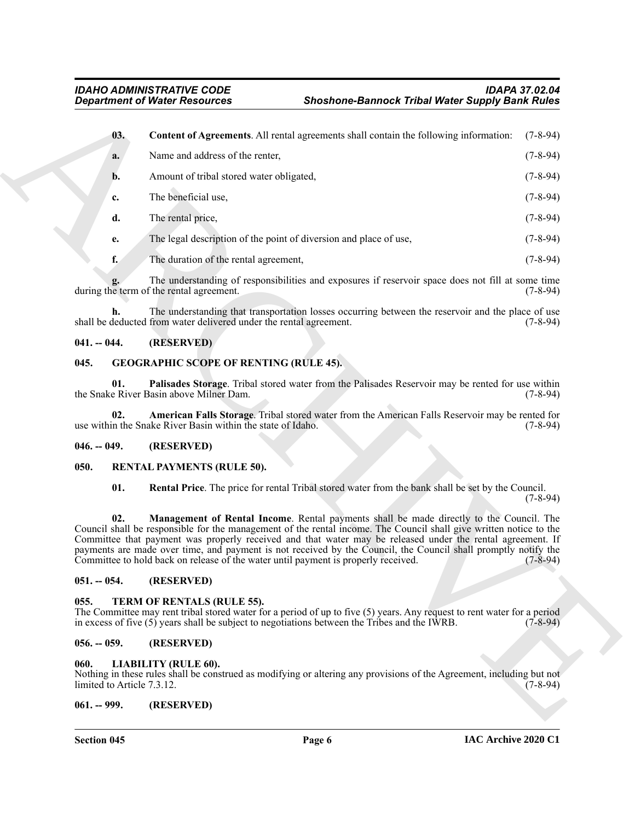<span id="page-5-12"></span>

|                                                       | <b>Department of Water Resources</b>                                                                                                                                                                                                                                                                                                                                                                                                                                                                                                | <b>Shoshone-Bannock Tribal Water Supply Bank Rules</b> |            |  |
|-------------------------------------------------------|-------------------------------------------------------------------------------------------------------------------------------------------------------------------------------------------------------------------------------------------------------------------------------------------------------------------------------------------------------------------------------------------------------------------------------------------------------------------------------------------------------------------------------------|--------------------------------------------------------|------------|--|
| 03.                                                   | Content of Agreements. All rental agreements shall contain the following information:                                                                                                                                                                                                                                                                                                                                                                                                                                               |                                                        | $(7-8-94)$ |  |
| a.                                                    | Name and address of the renter,                                                                                                                                                                                                                                                                                                                                                                                                                                                                                                     |                                                        | $(7-8-94)$ |  |
| b.                                                    | Amount of tribal stored water obligated,                                                                                                                                                                                                                                                                                                                                                                                                                                                                                            |                                                        | $(7-8-94)$ |  |
| c.                                                    | The beneficial use,                                                                                                                                                                                                                                                                                                                                                                                                                                                                                                                 |                                                        | $(7-8-94)$ |  |
| d.                                                    | The rental price,                                                                                                                                                                                                                                                                                                                                                                                                                                                                                                                   |                                                        | $(7-8-94)$ |  |
| e.                                                    | The legal description of the point of diversion and place of use,                                                                                                                                                                                                                                                                                                                                                                                                                                                                   |                                                        | $(7-8-94)$ |  |
| f.                                                    | The duration of the rental agreement,                                                                                                                                                                                                                                                                                                                                                                                                                                                                                               |                                                        | $(7-8-94)$ |  |
|                                                       | The understanding of responsibilities and exposures if reservoir space does not fill at some time<br>during the term of the rental agreement.                                                                                                                                                                                                                                                                                                                                                                                       |                                                        | $(7-8-94)$ |  |
| h.                                                    | The understanding that transportation losses occurring between the reservoir and the place of use<br>shall be deducted from water delivered under the rental agreement.                                                                                                                                                                                                                                                                                                                                                             |                                                        | $(7-8-94)$ |  |
| $041. - 044.$                                         | (RESERVED)                                                                                                                                                                                                                                                                                                                                                                                                                                                                                                                          |                                                        |            |  |
| <b>GEOGRAPHIC SCOPE OF RENTING (RULE 45).</b><br>045. |                                                                                                                                                                                                                                                                                                                                                                                                                                                                                                                                     |                                                        |            |  |
| 01.                                                   | Palisades Storage. Tribal stored water from the Palisades Reservoir may be rented for use within<br>the Snake River Basin above Milner Dam.                                                                                                                                                                                                                                                                                                                                                                                         |                                                        | $(7-8-94)$ |  |
| 02.                                                   | American Falls Storage. Tribal stored water from the American Falls Reservoir may be rented for<br>use within the Snake River Basin within the state of Idaho.                                                                                                                                                                                                                                                                                                                                                                      |                                                        | $(7-8-94)$ |  |
| $046. - 049.$                                         | (RESERVED)                                                                                                                                                                                                                                                                                                                                                                                                                                                                                                                          |                                                        |            |  |
| <b>RENTAL PAYMENTS (RULE 50).</b><br>050.             |                                                                                                                                                                                                                                                                                                                                                                                                                                                                                                                                     |                                                        |            |  |
| 01.                                                   | Rental Price. The price for rental Tribal stored water from the bank shall be set by the Council.                                                                                                                                                                                                                                                                                                                                                                                                                                   |                                                        | $(7-8-94)$ |  |
| 02.                                                   | Management of Rental Income. Rental payments shall be made directly to the Council. The<br>Council shall be responsible for the management of the rental income. The Council shall give written notice to the<br>Committee that payment was properly received and that water may be released under the rental agreement. If<br>payments are made over time, and payment is not received by the Council, the Council shall promptly notify the<br>Committee to hold back on release of the water until payment is properly received. |                                                        | $(7-8-94)$ |  |
| $051. - 054.$                                         | (RESERVED)                                                                                                                                                                                                                                                                                                                                                                                                                                                                                                                          |                                                        |            |  |
| 055.                                                  | TERM OF RENTALS (RULE 55).<br>The Committee may rent tribal stored water for a period of up to five (5) years. Any request to rent water for a period<br>in excess of five $(5)$ years shall be subject to negotiations between the Tribes and the IWRB.                                                                                                                                                                                                                                                                            |                                                        | $(7-8-94)$ |  |
| $056. - 059.$                                         | (RESERVED)                                                                                                                                                                                                                                                                                                                                                                                                                                                                                                                          |                                                        |            |  |
| 060.                                                  | LIABILITY (RULE 60).<br>Nothing in these rules shall be construed as modifying or altering any provisions of the Agreement, including but not                                                                                                                                                                                                                                                                                                                                                                                       |                                                        |            |  |
| limited to Article 7.3.12.                            |                                                                                                                                                                                                                                                                                                                                                                                                                                                                                                                                     |                                                        | $(7-8-94)$ |  |

#### <span id="page-5-0"></span>**041. -- 044. (RESERVED)**

#### <span id="page-5-11"></span><span id="page-5-9"></span><span id="page-5-1"></span>**045. GEOGRAPHIC SCOPE OF RENTING (RULE 45).**

#### <span id="page-5-10"></span><span id="page-5-2"></span>**046. -- 049. (RESERVED)**

#### <span id="page-5-15"></span><span id="page-5-14"></span><span id="page-5-13"></span><span id="page-5-3"></span>**050. RENTAL PAYMENTS (RULE 50).**

#### <span id="page-5-4"></span>**051. -- 054. (RESERVED)**

#### <span id="page-5-16"></span><span id="page-5-5"></span>**055. TERM OF RENTALS (RULE 55).**

#### <span id="page-5-6"></span>**056. -- 059. (RESERVED)**

#### <span id="page-5-7"></span>**060. LIABILITY (RULE 60).**

#### <span id="page-5-8"></span>**061. -- 999. (RESERVED)**